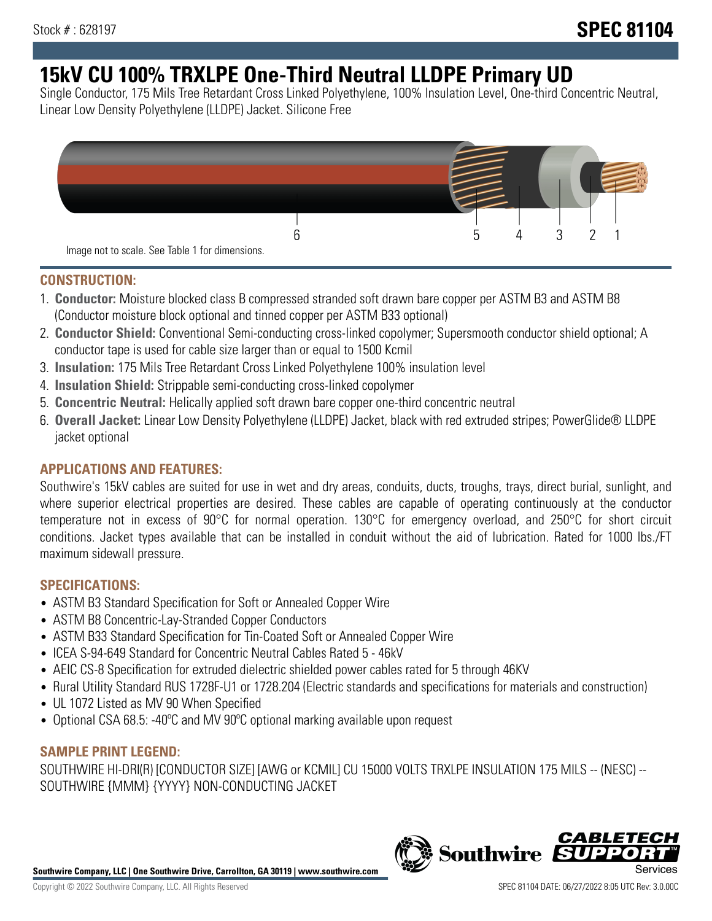# **15kV CU 100% TRXLPE One-Third Neutral LLDPE Primary UD**

Single Conductor, 175 Mils Tree Retardant Cross Linked Polyethylene, 100% Insulation Level, One-third Concentric Neutral, Linear Low Density Polyethylene (LLDPE) Jacket. Silicone Free



#### **CONSTRUCTION:**

- 1. **Conductor:** Moisture blocked class B compressed stranded soft drawn bare copper per ASTM B3 and ASTM B8 (Conductor moisture block optional and tinned copper per ASTM B33 optional)
- 2. **Conductor Shield:** Conventional Semi-conducting cross-linked copolymer; Supersmooth conductor shield optional; A conductor tape is used for cable size larger than or equal to 1500 Kcmil
- 3. **Insulation:** 175 Mils Tree Retardant Cross Linked Polyethylene 100% insulation level
- 4. **Insulation Shield:** Strippable semi-conducting cross-linked copolymer
- 5. **Concentric Neutral:** Helically applied soft drawn bare copper one-third concentric neutral
- 6. **Overall Jacket:** Linear Low Density Polyethylene (LLDPE) Jacket, black with red extruded stripes; PowerGlide® LLDPE jacket optional

### **APPLICATIONS AND FEATURES:**

Southwire's 15kV cables are suited for use in wet and dry areas, conduits, ducts, troughs, trays, direct burial, sunlight, and where superior electrical properties are desired. These cables are capable of operating continuously at the conductor temperature not in excess of 90°C for normal operation. 130°C for emergency overload, and 250°C for short circuit conditions. Jacket types available that can be installed in conduit without the aid of lubrication. Rated for 1000 lbs./FT maximum sidewall pressure.

#### **SPECIFICATIONS:**

- ASTM B3 Standard Specification for Soft or Annealed Copper Wire
- ASTM B8 Concentric-Lay-Stranded Copper Conductors
- ASTM B33 Standard Specification for Tin-Coated Soft or Annealed Copper Wire
- ICEA S-94-649 Standard for Concentric Neutral Cables Rated 5 46kV
- AEIC CS-8 Specification for extruded dielectric shielded power cables rated for 5 through 46KV
- Rural Utility Standard RUS 1728F-U1 or 1728.204 (Electric standards and specifications for materials and construction)
- UL 1072 Listed as MV 90 When Specified
- Optional CSA 68.5: -40ºC and MV 90ºC optional marking available upon request

### **SAMPLE PRINT LEGEND:**

SOUTHWIRE HI-DRI(R) [CONDUCTOR SIZE] [AWG or KCMIL] CU 15000 VOLTS TRXLPE INSULATION 175 MILS -- (NESC) -- SOUTHWIRE {MMM} {YYYY} NON-CONDUCTING JACKET

**Southwire Company, LLC | One Southwire Drive, Carrollton, GA 30119 | www.southwire.com**

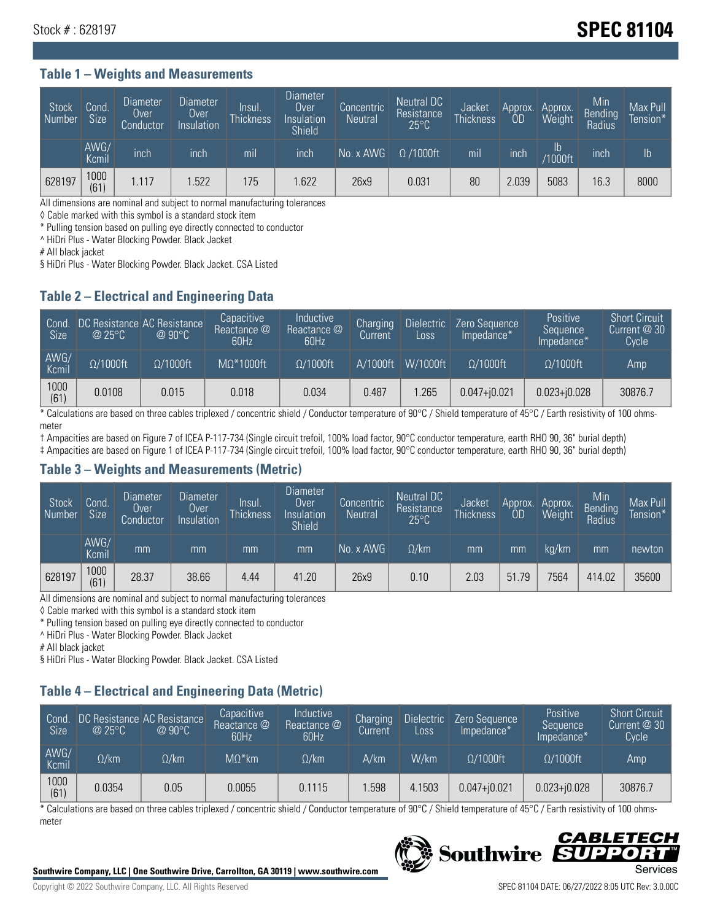# Stock # : 628197 **SPEC 81104**

#### **Table 1 – Weights and Measurements**

| Stock<br>  Number | Cond.<br><b>Size</b> | <b>Diameter</b><br>Over<br>Conductor | <b>Diameter</b><br>Over<br>Insulation | lnsul.<br>Thickness | <b>Diameter</b><br>Over.<br>Insulation<br><b>Shield</b> | Concentric<br><b>Neutral</b> | Neutral DC<br>Resistance<br>$25^{\circ}$ C | Jacket<br><b>Thickness</b> | Approx.<br>0D | Approx.<br>Weight    | Min<br><b>Bending</b><br>Radius | Max Pull<br>Tension* <sup>1</sup> |
|-------------------|----------------------|--------------------------------------|---------------------------------------|---------------------|---------------------------------------------------------|------------------------------|--------------------------------------------|----------------------------|---------------|----------------------|---------------------------------|-----------------------------------|
|                   | AWG/<br>Kcmil        | inch                                 | inch                                  | mil                 | inch                                                    | No. x AWG                    | $\Omega$ /1000ft                           | mil                        | inch          | Ib<br><b>Y1000ft</b> | inch                            | $\mathsf{lb}$                     |
| 628197            | 1000<br>(61)         | 1.117                                | .522                                  | 175                 | .622                                                    | 26x9                         | 0.031                                      | 80                         | 2.039         | 5083                 | 16.3                            | 8000                              |

All dimensions are nominal and subject to normal manufacturing tolerances

◊ Cable marked with this symbol is a standard stock item

\* Pulling tension based on pulling eye directly connected to conductor

^ HiDri Plus - Water Blocking Powder. Black Jacket

# All black jacket

§ HiDri Plus - Water Blocking Powder. Black Jacket. CSA Listed

#### **Table 2 – Electrical and Engineering Data**

| Cond.<br>Size <sup>'</sup> | $\omega$ 25°C    | DC Resistance AC Resistance<br>$@90^{\circ}C$ | Capacitive<br>Reactance @<br>60Hz | Inductive<br>Reactance @<br>60Hz | Charging<br>Current | <b>Dielectric</b><br>Loss | Zero Sequence<br>Impedance* | Positive<br>Sequence<br>Impedance* | <b>Short Circuit</b><br>Current $@30$<br>Cycle |
|----------------------------|------------------|-----------------------------------------------|-----------------------------------|----------------------------------|---------------------|---------------------------|-----------------------------|------------------------------------|------------------------------------------------|
| AWG/<br>Kcmil              | $\Omega/1000$ ft | $\Omega/1000$ ft                              | $M\Omega^*1000$ ft                | $\Omega/1000$ ft                 | A/1000ft            | W/1000ft                  | $\Omega/1000$ ft            | $\Omega$ /1000ft                   | Amp                                            |
| 1000<br>(61)               | 0.0108           | 0.015                                         | 0.018                             | 0.034                            | 0.487               | .265                      | $0.047 + 0.021$             | $0.023 + 0.028$                    | 30876.7                                        |

\* Calculations are based on three cables triplexed / concentric shield / Conductor temperature of 90°C / Shield temperature of 45°C / Earth resistivity of 100 ohmsmeter

† Ampacities are based on Figure 7 of ICEA P-117-734 (Single circuit trefoil, 100% load factor, 90°C conductor temperature, earth RHO 90, 36" burial depth)

‡ Ampacities are based on Figure 1 of ICEA P-117-734 (Single circuit trefoil, 100% load factor, 90°C conductor temperature, earth RHO 90, 36" burial depth)

#### **Table 3 – Weights and Measurements (Metric)**

| Stock<br>Number | Cond.<br><b>Size</b> | <b>Diameter</b><br>Over<br>Conductor | Diameter<br>Over<br>Insulation | lnsul.<br><b>Thickness</b> | <b>Diameter</b><br>Over<br>Insulation<br><b>Shield</b> | Concentric<br><b>Neutral</b> | <b>Neutral DC</b><br>Resistance<br>$25^{\circ}$ C | Jacket<br><b>Thickness</b> | Approx.<br>0D | Approx.<br>Weight | Min<br><b>Bending</b><br>Radius | Max Pull<br>Tension* |
|-----------------|----------------------|--------------------------------------|--------------------------------|----------------------------|--------------------------------------------------------|------------------------------|---------------------------------------------------|----------------------------|---------------|-------------------|---------------------------------|----------------------|
|                 | AWG/<br>Kcmil        | mm                                   | mm                             | mm                         | mm                                                     | No. x AWG                    | $\Omega$ /km                                      | mm                         | mm            | ka/km             | mm                              | newton               |
| 628197          | 1000<br>(61)         | 28.37                                | 38.66                          | 4.44                       | 41.20                                                  | 26x9                         | 0.10                                              | 2.03                       | 51.79         | 7564              | 414.02                          | 35600                |

All dimensions are nominal and subject to normal manufacturing tolerances

◊ Cable marked with this symbol is a standard stock item

\* Pulling tension based on pulling eye directly connected to conductor

^ HiDri Plus - Water Blocking Powder. Black Jacket

# All black jacket

§ HiDri Plus - Water Blocking Powder. Black Jacket. CSA Listed

## **Table 4 – Electrical and Engineering Data (Metric)**

| Cond<br>Size <sup>'</sup> | @25°C        | DC Resistance AC Resistance<br>$@90^{\circ}C$ | Capacitive<br>Reactance @<br>60Hz | <b>Inductive</b><br>Reactance @<br>60Hz | Charging<br>Current | <b>Dielectric</b><br>Loss | Zero Sequence<br>Impedance* | <b>Positive</b><br>Sequence<br>Impedance* | <b>Short Circuit</b><br>Current @ 30<br>Cycle <sup>1</sup> |
|---------------------------|--------------|-----------------------------------------------|-----------------------------------|-----------------------------------------|---------------------|---------------------------|-----------------------------|-------------------------------------------|------------------------------------------------------------|
| AWG/<br>Kcmil             | $\Omega$ /km | $\Omega / \mathsf{k}$ m                       | $M\Omega^*$ km                    | $\Omega$ /km                            | A/km                | W/km                      | $\Omega/1000$ ft            | $\Omega/1000$ ft                          | Amp                                                        |
| 1000<br>(61)              | 0.0354       | 0.05                                          | 0.0055                            | 0.1115                                  | .598                | 4.1503                    | $0.047 + 0.021$             | $0.023 + j0.028$                          | 30876.7                                                    |

\* Calculations are based on three cables triplexed / concentric shield / Conductor temperature of 90°C / Shield temperature of 45°C / Earth resistivity of 100 ohmsmeter



#### CABLETE **Southwire** DD.